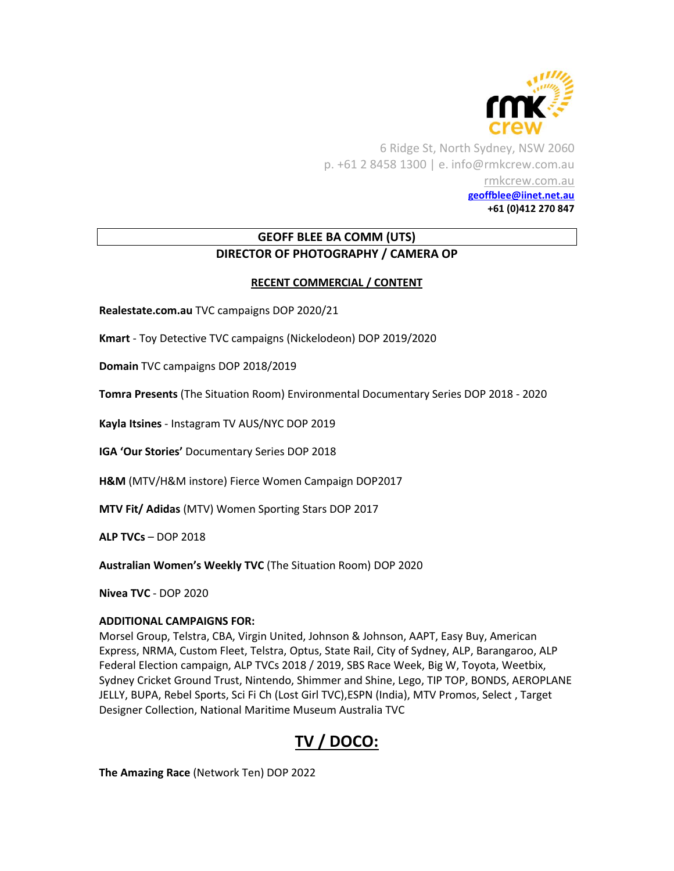

6 Ridge St, North Sydney, NSW 2060 p. +61 2 8458 1300 | e. info@rmkcrew.com.au [rmkcrew.com.au](http://www.rmkcrew.com.au/) **[geoffblee@iinet.net.au](mailto:geoffblee@iinet.net.au) +61 (0)412 270 847**

## **GEOFF BLEE BA COMM (UTS) DIRECTOR OF PHOTOGRAPHY / CAMERA OP**

### **RECENT COMMERCIAL / CONTENT**

**Realestate.com.au** TVC campaigns DOP 2020/21

**Kmart** - Toy Detective TVC campaigns (Nickelodeon) DOP 2019/2020

**Domain** TVC campaigns DOP 2018/2019

**Tomra Presents** (The Situation Room) Environmental Documentary Series DOP 2018 - 2020

**Kayla Itsines** - Instagram TV AUS/NYC DOP 2019

**IGA 'Our Stories'** Documentary Series DOP 2018

**H&M** (MTV/H&M instore) Fierce Women Campaign DOP2017

**MTV Fit/ Adidas** (MTV) Women Sporting Stars DOP 2017

**ALP TVCs** – DOP 2018

**Australian Women's Weekly TVC** (The Situation Room) DOP 2020

**Nivea TVC** - DOP 2020

#### **ADDITIONAL CAMPAIGNS FOR:**

Morsel Group, Telstra, CBA, Virgin United, Johnson & Johnson, AAPT, Easy Buy, American Express, NRMA, Custom Fleet, Telstra, Optus, State Rail, City of Sydney, ALP, Barangaroo, ALP Federal Election campaign, ALP TVCs 2018 / 2019, SBS Race Week, Big W, Toyota, Weetbix, Sydney Cricket Ground Trust, Nintendo, Shimmer and Shine, Lego, TIP TOP, BONDS, AEROPLANE JELLY, BUPA, Rebel Sports, Sci Fi Ch (Lost Girl TVC),ESPN (India), MTV Promos, Select , Target Designer Collection, National Maritime Museum Australia TVC

# **TV / DOCO:**

**The Amazing Race** (Network Ten) DOP 2022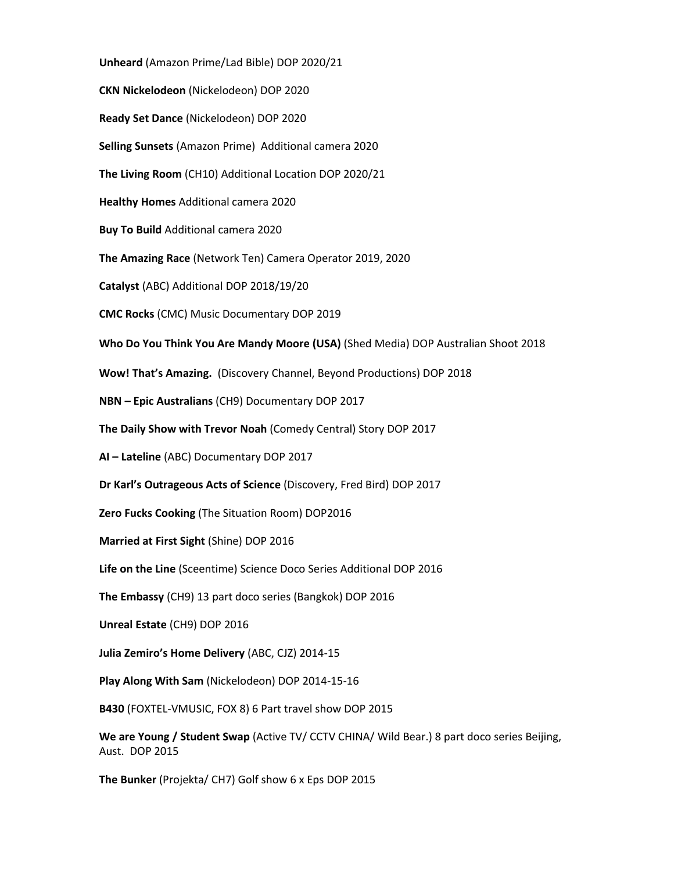**Unheard** (Amazon Prime/Lad Bible) DOP 2020/21 **CKN Nickelodeon** (Nickelodeon) DOP 2020 **Ready Set Dance** (Nickelodeon) DOP 2020 **Selling Sunsets** (Amazon Prime) Additional camera 2020 **The Living Room** (CH10) Additional Location DOP 2020/21 **Healthy Homes** Additional camera 2020 **Buy To Build** Additional camera 2020 **The Amazing Race** (Network Ten) Camera Operator 2019, 2020 **Catalyst** (ABC) Additional DOP 2018/19/20 **CMC Rocks** (CMC) Music Documentary DOP 2019 **Who Do You Think You Are Mandy Moore (USA)** (Shed Media) DOP Australian Shoot 2018 **Wow! That's Amazing.** (Discovery Channel, Beyond Productions) DOP 2018 **NBN – Epic Australians** (CH9) Documentary DOP 2017 **The Daily Show with Trevor Noah** (Comedy Central) Story DOP 2017 **AI – Lateline** (ABC) Documentary DOP 2017 **Dr Karl's Outrageous Acts of Science** (Discovery, Fred Bird) DOP 2017 **Zero Fucks Cooking** (The Situation Room) DOP2016 **Married at First Sight** (Shine) DOP 2016 **Life on the Line** (Sceentime) Science Doco Series Additional DOP 2016 **The Embassy** (CH9) 13 part doco series (Bangkok) DOP 2016 **Unreal Estate** (CH9) DOP 2016 **Julia Zemiro's Home Delivery** (ABC, CJZ) 2014-15 **Play Along With Sam** (Nickelodeon) DOP 2014-15-16 **B430** (FOXTEL-VMUSIC, FOX 8) 6 Part travel show DOP 2015 **We are Young / Student Swap** (Active TV/ CCTV CHINA/ Wild Bear.) 8 part doco series Beijing, Aust. DOP 2015

**The Bunker** (Projekta/ CH7) Golf show 6 x Eps DOP 2015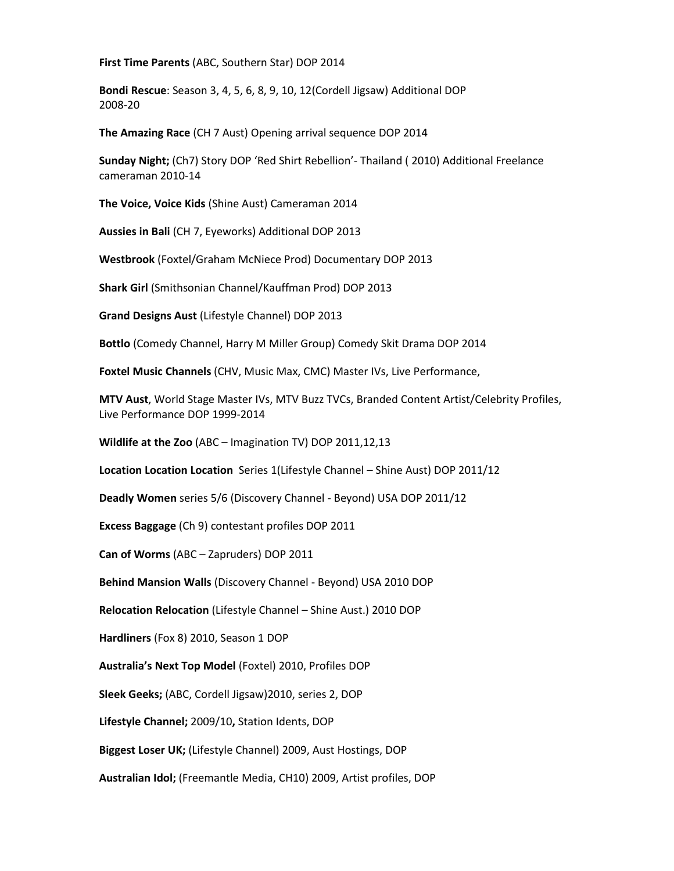**First Time Parents** (ABC, Southern Star) DOP 2014

**Bondi Rescue**: Season 3, 4, 5, 6, 8, 9, 10, 12(Cordell Jigsaw) Additional DOP 2008-20

**The Amazing Race** (CH 7 Aust) Opening arrival sequence DOP 2014

**Sunday Night;** (Ch7) Story DOP 'Red Shirt Rebellion'- Thailand ( 2010) Additional Freelance cameraman 2010-14

**The Voice, Voice Kids** (Shine Aust) Cameraman 2014

**Aussies in Bali** (CH 7, Eyeworks) Additional DOP 2013

**Westbrook** (Foxtel/Graham McNiece Prod) Documentary DOP 2013

**Shark Girl** (Smithsonian Channel/Kauffman Prod) DOP 2013

**Grand Designs Aust** (Lifestyle Channel) DOP 2013

**Bottlo** (Comedy Channel, Harry M Miller Group) Comedy Skit Drama DOP 2014

**Foxtel Music Channels** (CHV, Music Max, CMC) Master IVs, Live Performance,

**MTV Aust**, World Stage Master IVs, MTV Buzz TVCs, Branded Content Artist/Celebrity Profiles, Live Performance DOP 1999-2014

**Wildlife at the Zoo** (ABC – Imagination TV) DOP 2011,12,13

**Location Location Location** Series 1(Lifestyle Channel – Shine Aust) DOP 2011/12

**Deadly Women** series 5/6 (Discovery Channel - Beyond) USA DOP 2011/12

**Excess Baggage** (Ch 9) contestant profiles DOP 2011

**Can of Worms** (ABC – Zapruders) DOP 2011

**Behind Mansion Walls** (Discovery Channel - Beyond) USA 2010 DOP

**Relocation Relocation** (Lifestyle Channel – Shine Aust.) 2010 DOP

**Hardliners** (Fox 8) 2010, Season 1 DOP

**Australia's Next Top Model** (Foxtel) 2010, Profiles DOP

**Sleek Geeks;** (ABC, Cordell Jigsaw)2010, series 2, DOP

**Lifestyle Channel;** 2009/10**,** Station Idents, DOP

**Biggest Loser UK;** (Lifestyle Channel) 2009, Aust Hostings, DOP

**Australian Idol;** (Freemantle Media, CH10) 2009, Artist profiles, DOP